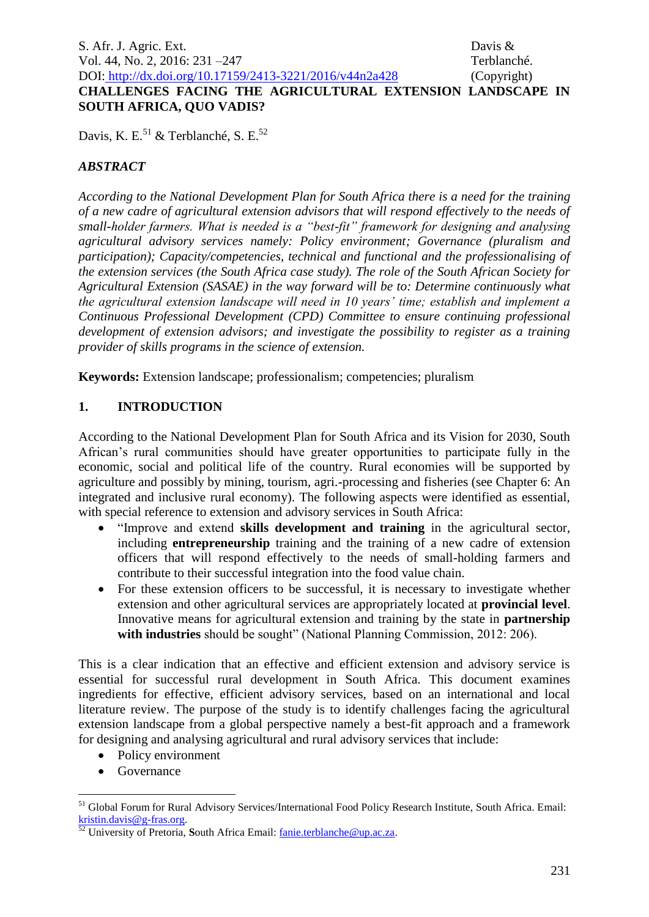**SOUTH AFRICA, QUO VADIS?**

Davis, K. E.<sup>51</sup> & Terblanché, S. E.<sup>52</sup>

# *ABSTRACT*

*According to the National Development Plan for South Africa there is a need for the training of a new cadre of agricultural extension advisors that will respond effectively to the needs of small-holder farmers. What is needed is a "best-fit" framework for designing and analysing agricultural advisory services namely: Policy environment; Governance (pluralism and participation); Capacity/competencies, technical and functional and the professionalising of the extension services (the South Africa case study). The role of the South African Society for Agricultural Extension (SASAE) in the way forward will be to: Determine continuously what the agricultural extension landscape will need in 10 years' time; establish and implement a Continuous Professional Development (CPD) Committee to ensure continuing professional development of extension advisors; and investigate the possibility to register as a training provider of skills programs in the science of extension.* 

**Keywords:** Extension landscape; professionalism; competencies; pluralism

# **1. INTRODUCTION**

According to the National Development Plan for South Africa and its Vision for 2030, South African's rural communities should have greater opportunities to participate fully in the economic, social and political life of the country. Rural economies will be supported by agriculture and possibly by mining, tourism, agri.-processing and fisheries (see Chapter 6: An integrated and inclusive rural economy). The following aspects were identified as essential, with special reference to extension and advisory services in South Africa:

- "Improve and extend **skills development and training** in the agricultural sector, including **entrepreneurship** training and the training of a new cadre of extension officers that will respond effectively to the needs of small-holding farmers and contribute to their successful integration into the food value chain.
- For these extension officers to be successful, it is necessary to investigate whether extension and other agricultural services are appropriately located at **provincial level**. Innovative means for agricultural extension and training by the state in **partnership with industries** should be sought" (National Planning Commission, 2012: 206).

This is a clear indication that an effective and efficient extension and advisory service is essential for successful rural development in South Africa. This document examines ingredients for effective, efficient advisory services, based on an international and local literature review. The purpose of the study is to identify challenges facing the agricultural extension landscape from a global perspective namely a best-fit approach and a framework for designing and analysing agricultural and rural advisory services that include:

- Policy environment
- Governance

<u>.</u>

<sup>&</sup>lt;sup>51</sup> Global Forum for Rural Advisory Services/International Food Policy Research Institute, South Africa. Email: [kristin.davis@g-fras.org.](mailto:kristin.davis@g-fras.org) 

<sup>52</sup> University of Pretoria, **S**outh Africa Email: [fanie.terblanche@up.ac.za.](mailto:fanie.terblanche@up.ac.za)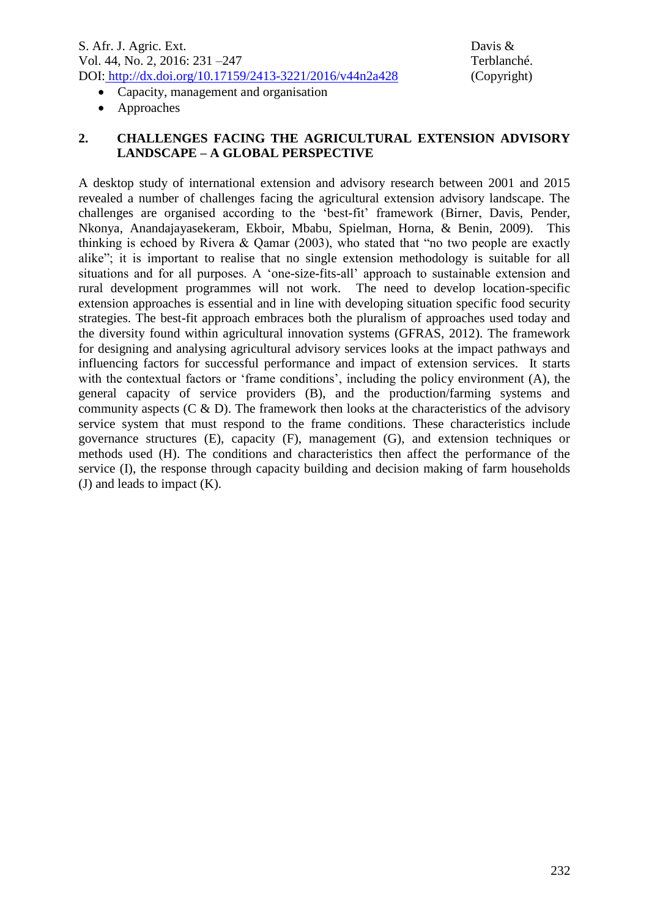- Capacity, management and organisation
- Approaches

## **2. CHALLENGES FACING THE AGRICULTURAL EXTENSION ADVISORY LANDSCAPE – A GLOBAL PERSPECTIVE**

A desktop study of international extension and advisory research between 2001 and 2015 revealed a number of challenges facing the agricultural extension advisory landscape. The challenges are organised according to the 'best-fit' framework (Birner, Davis, Pender, Nkonya, Anandajayasekeram, Ekboir, Mbabu, Spielman, Horna, & Benin, 2009). This thinking is echoed by Rivera & Qamar (2003), who stated that "no two people are exactly alike"; it is important to realise that no single extension methodology is suitable for all situations and for all purposes. A 'one-size-fits-all' approach to sustainable extension and rural development programmes will not work. The need to develop location-specific extension approaches is essential and in line with developing situation specific food security strategies. The best-fit approach embraces both the pluralism of approaches used today and the diversity found within agricultural innovation systems (GFRAS, 2012). The framework for designing and analysing agricultural advisory services looks at the impact pathways and influencing factors for successful performance and impact of extension services. It starts with the contextual factors or 'frame conditions', including the policy environment (A), the general capacity of service providers (B), and the production/farming systems and community aspects  $(C \& D)$ . The framework then looks at the characteristics of the advisory service system that must respond to the frame conditions. These characteristics include governance structures (E), capacity (F), management (G), and extension techniques or methods used (H). The conditions and characteristics then affect the performance of the service (I), the response through capacity building and decision making of farm households (J) and leads to impact (K).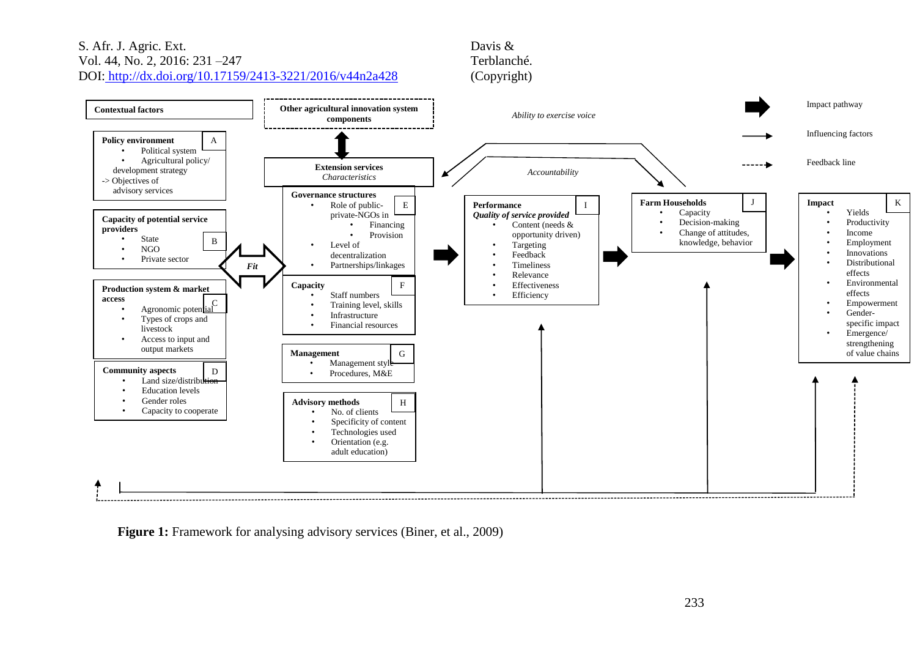#### S. Afr. J. Agric. Ext. Davis & Davis & Davis & Davis & Davis & Davis & Davis & Davis & Davis & Davis & Terblanché. Vol. 44, No. 2, 2016: 231 $-247$ DOI: http://dx.doi.org/10.17159/2413-3221/2016/v44n2a428 (Copyright)



Figure 1: Framework for analysing advisory services (Biner, et al., 2009)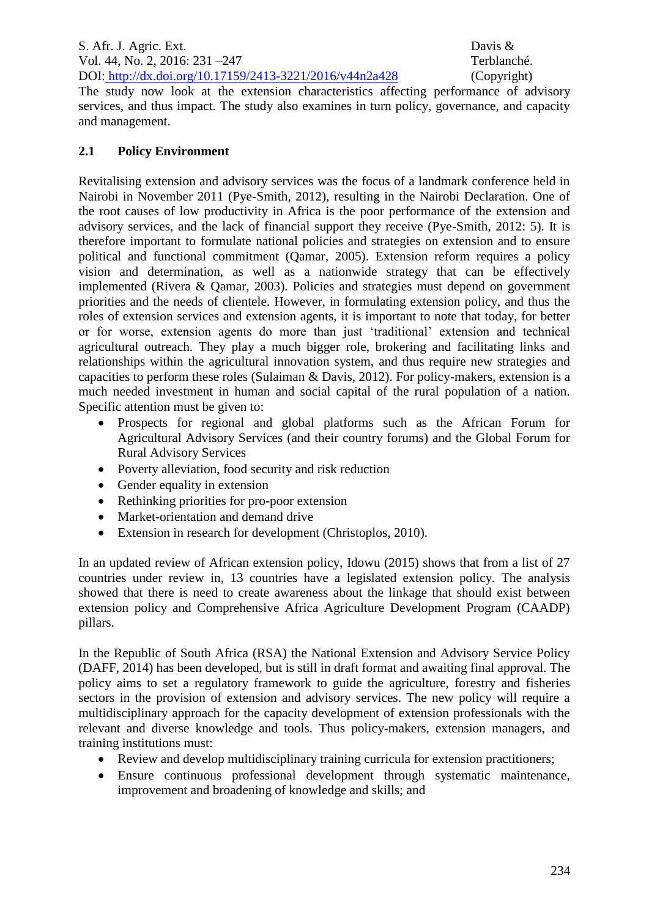The study now look at the extension characteristics affecting performance of advisory services, and thus impact. The study also examines in turn policy, governance, and capacity and management.

# **2.1 Policy Environment**

Revitalising extension and advisory services was the focus of a landmark conference held in Nairobi in November 2011 (Pye-Smith, 2012), resulting in the Nairobi Declaration. One of the root causes of low productivity in Africa is the poor performance of the extension and advisory services, and the lack of financial support they receive (Pye-Smith, 2012: 5). It is therefore important to formulate national policies and strategies on extension and to ensure political and functional commitment (Qamar, 2005). Extension reform requires a policy vision and determination, as well as a nationwide strategy that can be effectively implemented (Rivera & Qamar, 2003). Policies and strategies must depend on government priorities and the needs of clientele. However, in formulating extension policy, and thus the roles of extension services and extension agents, it is important to note that today, for better or for worse, extension agents do more than just 'traditional' extension and technical agricultural outreach. They play a much bigger role, brokering and facilitating links and relationships within the agricultural innovation system, and thus require new strategies and capacities to perform these roles (Sulaiman & Davis, 2012). For policy-makers, extension is a much needed investment in human and social capital of the rural population of a nation. Specific attention must be given to:

- Prospects for regional and global platforms such as the African Forum for Agricultural Advisory Services (and their country forums) and the Global Forum for Rural Advisory Services
- Poverty alleviation, food security and risk reduction
- Gender equality in extension
- Rethinking priorities for pro-poor extension
- Market-orientation and demand drive
- Extension in research for development (Christoplos, 2010).

In an updated review of African extension policy, Idowu (2015) shows that from a list of 27 countries under review in, 13 countries have a legislated extension policy. The analysis showed that there is need to create awareness about the linkage that should exist between extension policy and Comprehensive Africa Agriculture Development Program (CAADP) pillars.

In the Republic of South Africa (RSA) the National Extension and Advisory Service Policy (DAFF, 2014) has been developed, but is still in draft format and awaiting final approval. The policy aims to set a regulatory framework to guide the agriculture, forestry and fisheries sectors in the provision of extension and advisory services. The new policy will require a multidisciplinary approach for the capacity development of extension professionals with the relevant and diverse knowledge and tools. Thus policy-makers, extension managers, and training institutions must:

- Review and develop multidisciplinary training curricula for extension practitioners;
- Ensure continuous professional development through systematic maintenance, improvement and broadening of knowledge and skills; and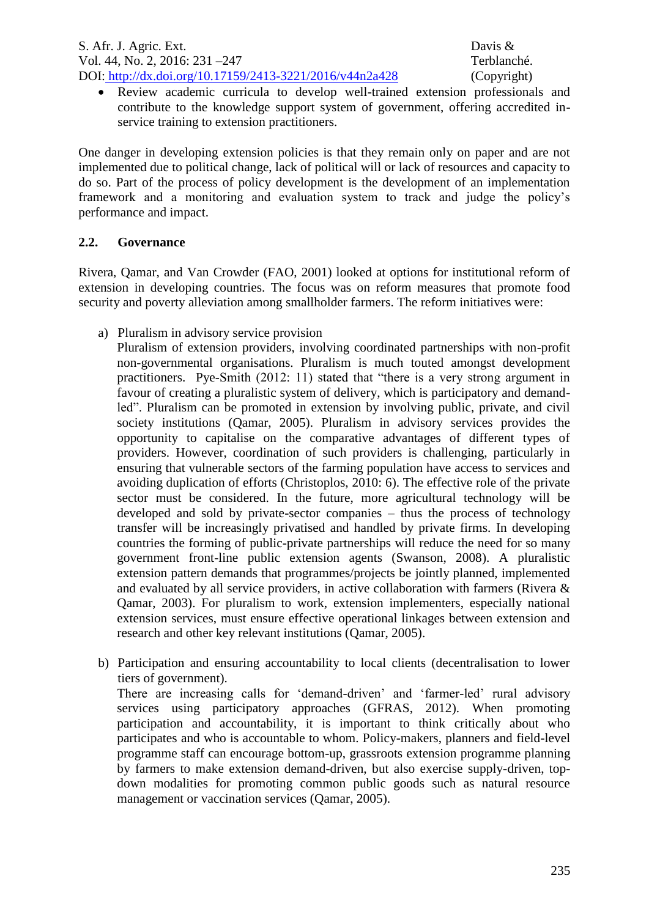Review academic curricula to develop well-trained extension professionals and contribute to the knowledge support system of government, offering accredited inservice training to extension practitioners.

One danger in developing extension policies is that they remain only on paper and are not implemented due to political change, lack of political will or lack of resources and capacity to do so. Part of the process of policy development is the development of an implementation framework and a monitoring and evaluation system to track and judge the policy's performance and impact.

## **2.2. Governance**

Rivera, Qamar, and Van Crowder (FAO, 2001) looked at options for institutional reform of extension in developing countries. The focus was on reform measures that promote food security and poverty alleviation among smallholder farmers. The reform initiatives were:

a) Pluralism in advisory service provision

Pluralism of extension providers, involving coordinated partnerships with non-profit non-governmental organisations. Pluralism is much touted amongst development practitioners. Pye-Smith (2012: 11) stated that "there is a very strong argument in favour of creating a pluralistic system of delivery, which is participatory and demandled". Pluralism can be promoted in extension by involving public, private, and civil society institutions (Qamar, 2005). Pluralism in advisory services provides the opportunity to capitalise on the comparative advantages of different types of providers. However, coordination of such providers is challenging, particularly in ensuring that vulnerable sectors of the farming population have access to services and avoiding duplication of efforts (Christoplos, 2010: 6). The effective role of the private sector must be considered. In the future, more agricultural technology will be developed and sold by private-sector companies – thus the process of technology transfer will be increasingly privatised and handled by private firms. In developing countries the forming of public-private partnerships will reduce the need for so many government front-line public extension agents (Swanson, 2008). A pluralistic extension pattern demands that programmes/projects be jointly planned, implemented and evaluated by all service providers, in active collaboration with farmers (Rivera & Qamar, 2003). For pluralism to work, extension implementers, especially national extension services, must ensure effective operational linkages between extension and research and other key relevant institutions (Qamar, 2005).

b) Participation and ensuring accountability to local clients (decentralisation to lower tiers of government).

There are increasing calls for 'demand-driven' and 'farmer-led' rural advisory services using participatory approaches (GFRAS, 2012). When promoting participation and accountability, it is important to think critically about who participates and who is accountable to whom. Policy-makers, planners and field-level programme staff can encourage bottom-up, grassroots extension programme planning by farmers to make extension demand-driven, but also exercise supply-driven, topdown modalities for promoting common public goods such as natural resource management or vaccination services (Qamar, 2005).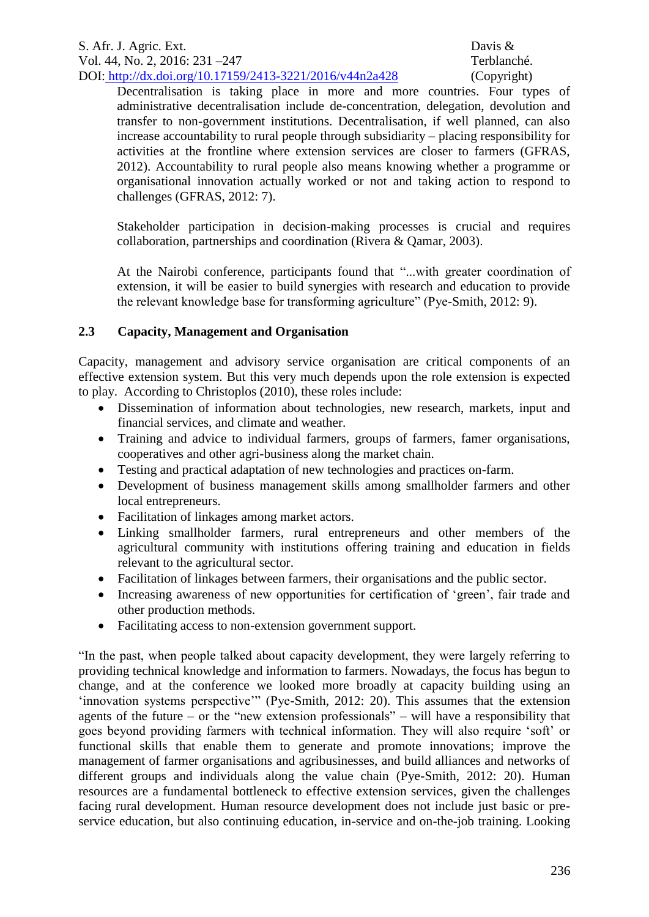Decentralisation is taking place in more and more countries. Four types of administrative decentralisation include de-concentration, delegation, devolution and transfer to non-government institutions. Decentralisation, if well planned, can also increase accountability to rural people through subsidiarity – placing responsibility for activities at the frontline where extension services are closer to farmers (GFRAS, 2012). Accountability to rural people also means knowing whether a programme or organisational innovation actually worked or not and taking action to respond to challenges (GFRAS, 2012: 7).

Stakeholder participation in decision-making processes is crucial and requires collaboration, partnerships and coordination (Rivera & Qamar, 2003).

At the Nairobi conference, participants found that "...with greater coordination of extension, it will be easier to build synergies with research and education to provide the relevant knowledge base for transforming agriculture" (Pye-Smith, 2012: 9).

# **2.3 Capacity, Management and Organisation**

Capacity, management and advisory service organisation are critical components of an effective extension system. But this very much depends upon the role extension is expected to play. According to Christoplos (2010), these roles include:

- Dissemination of information about technologies, new research, markets, input and financial services, and climate and weather.
- Training and advice to individual farmers, groups of farmers, famer organisations, cooperatives and other agri-business along the market chain.
- Testing and practical adaptation of new technologies and practices on-farm.
- Development of business management skills among smallholder farmers and other local entrepreneurs.
- Facilitation of linkages among market actors.
- Linking smallholder farmers, rural entrepreneurs and other members of the agricultural community with institutions offering training and education in fields relevant to the agricultural sector.
- Facilitation of linkages between farmers, their organisations and the public sector.
- Increasing awareness of new opportunities for certification of 'green', fair trade and other production methods.
- Facilitating access to non-extension government support.

"In the past, when people talked about capacity development, they were largely referring to providing technical knowledge and information to farmers. Nowadays, the focus has begun to change, and at the conference we looked more broadly at capacity building using an 'innovation systems perspective'" (Pye-Smith, 2012: 20). This assumes that the extension agents of the future – or the "new extension professionals" – will have a responsibility that goes beyond providing farmers with technical information. They will also require 'soft' or functional skills that enable them to generate and promote innovations; improve the management of farmer organisations and agribusinesses, and build alliances and networks of different groups and individuals along the value chain (Pye-Smith, 2012: 20). Human resources are a fundamental bottleneck to effective extension services, given the challenges facing rural development. Human resource development does not include just basic or preservice education, but also continuing education, in-service and on-the-job training. Looking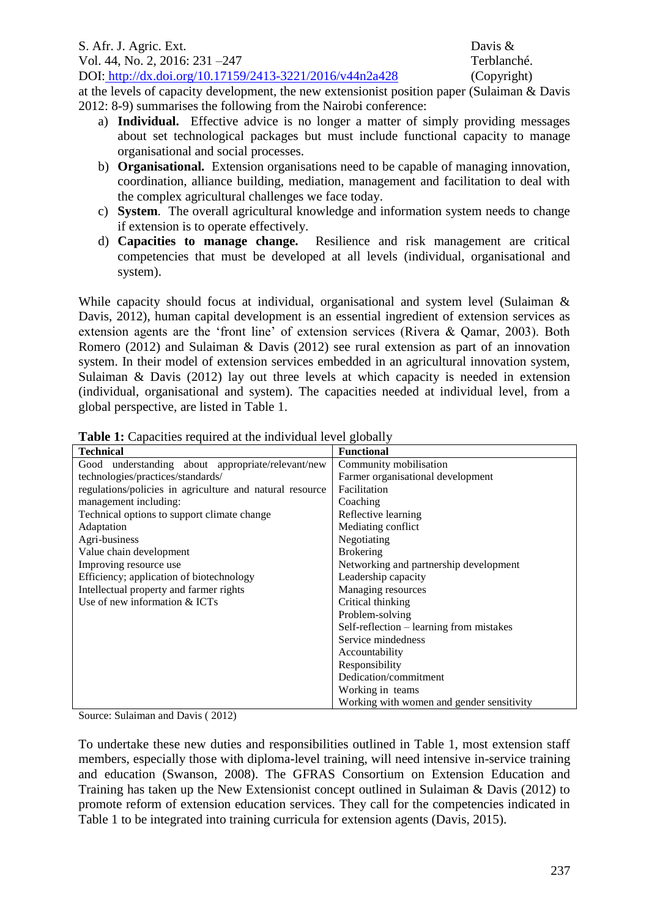S. Afr. J. Agric. Ext. Davis & Vol. 44, No. 2, 2016: 231 –247 Terblanché. DOI: http://dx.doi.org/10.17159/2413-3221/2016/v44n2a428 (Copyright)

at the levels of capacity development, the new extensionist position paper (Sulaiman & Davis 2012: 8-9) summarises the following from the Nairobi conference:

- a) **Individual.** Effective advice is no longer a matter of simply providing messages about set technological packages but must include functional capacity to manage organisational and social processes.
- b) **Organisational.** Extension organisations need to be capable of managing innovation, coordination, alliance building, mediation, management and facilitation to deal with the complex agricultural challenges we face today.
- c) **System**. The overall agricultural knowledge and information system needs to change if extension is to operate effectively.
- d) **Capacities to manage change.** Resilience and risk management are critical competencies that must be developed at all levels (individual, organisational and system).

While capacity should focus at individual, organisational and system level (Sulaiman & Davis, 2012), human capital development is an essential ingredient of extension services as extension agents are the 'front line' of extension services (Rivera & Qamar, 2003). Both Romero (2012) and Sulaiman & Davis (2012) see rural extension as part of an innovation system. In their model of extension services embedded in an agricultural innovation system, Sulaiman & Davis (2012) lay out three levels at which capacity is needed in extension (individual, organisational and system). The capacities needed at individual level, from a global perspective, are listed in Table 1.

| <b>rapic 1.</b> Capacities required at the film vidual fever grobally |                                           |  |  |  |  |
|-----------------------------------------------------------------------|-------------------------------------------|--|--|--|--|
| <b>Technical</b>                                                      | <b>Functional</b>                         |  |  |  |  |
| Good understanding about appropriate/relevant/new                     | Community mobilisation                    |  |  |  |  |
| technologies/practices/standards/                                     | Farmer organisational development         |  |  |  |  |
| regulations/policies in agriculture and natural resource              | Facilitation                              |  |  |  |  |
| management including:                                                 | Coaching                                  |  |  |  |  |
| Technical options to support climate change                           | Reflective learning                       |  |  |  |  |
| Adaptation                                                            | Mediating conflict                        |  |  |  |  |
| Agri-business                                                         | Negotiating                               |  |  |  |  |
| Value chain development                                               | <b>Brokering</b>                          |  |  |  |  |
| Improving resource use                                                | Networking and partnership development    |  |  |  |  |
| Efficiency; application of biotechnology                              | Leadership capacity                       |  |  |  |  |
| Intellectual property and farmer rights                               | Managing resources                        |  |  |  |  |
| Use of new information & ICTs                                         | Critical thinking                         |  |  |  |  |
|                                                                       | Problem-solving                           |  |  |  |  |
|                                                                       | Self-reflection - learning from mistakes  |  |  |  |  |
|                                                                       | Service mindedness                        |  |  |  |  |
|                                                                       | Accountability                            |  |  |  |  |
|                                                                       | Responsibility                            |  |  |  |  |
|                                                                       | Dedication/commitment                     |  |  |  |  |
|                                                                       | Working in teams                          |  |  |  |  |
|                                                                       | Working with women and gender sensitivity |  |  |  |  |

**Table 1:** Capacities required at the individual level globally

Source: Sulaiman and Davis ( 2012)

To undertake these new duties and responsibilities outlined in Table 1, most extension staff members, especially those with diploma-level training, will need intensive in-service training and education (Swanson, 2008). The GFRAS Consortium on Extension Education and Training has taken up the New Extensionist concept outlined in Sulaiman & Davis (2012) to promote reform of extension education services. They call for the competencies indicated in Table 1 to be integrated into training curricula for extension agents (Davis, 2015).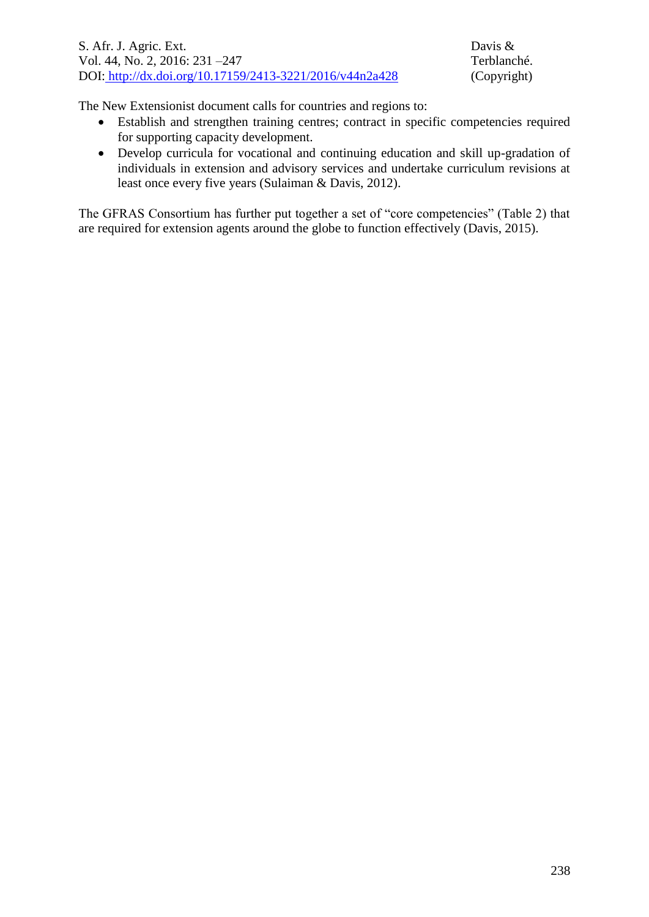The New Extensionist document calls for countries and regions to:

- Establish and strengthen training centres; contract in specific competencies required for supporting capacity development.
- Develop curricula for vocational and continuing education and skill up-gradation of individuals in extension and advisory services and undertake curriculum revisions at least once every five years (Sulaiman & Davis, 2012).

The GFRAS Consortium has further put together a set of "core competencies" (Table 2) that are required for extension agents around the globe to function effectively (Davis, 2015).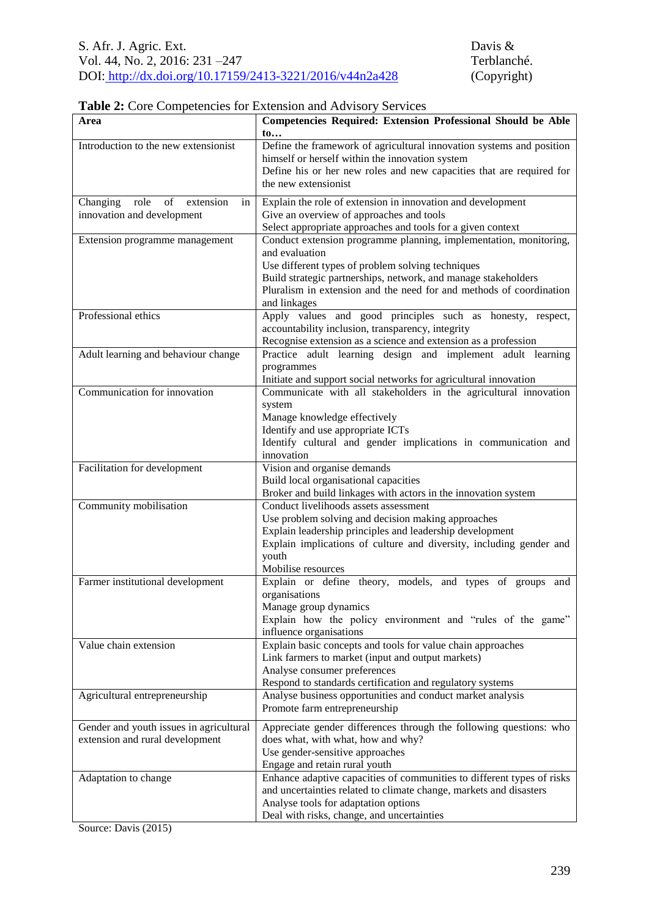#### **Table 2:** Core Competencies for Extension and Advisory Services

| Area                                                                       | <b>Competencies Required: Extension Professional Should be Able</b><br>$\mathbf{t_0}$                                                                                                                                                                                                                                                                            |
|----------------------------------------------------------------------------|------------------------------------------------------------------------------------------------------------------------------------------------------------------------------------------------------------------------------------------------------------------------------------------------------------------------------------------------------------------|
| Introduction to the new extensionist                                       | Define the framework of agricultural innovation systems and position<br>himself or herself within the innovation system<br>Define his or her new roles and new capacities that are required for<br>the new extensionist                                                                                                                                          |
| Changing role<br>of<br>extension<br>in<br>innovation and development       | Explain the role of extension in innovation and development<br>Give an overview of approaches and tools                                                                                                                                                                                                                                                          |
| Extension programme management                                             | Select appropriate approaches and tools for a given context<br>Conduct extension programme planning, implementation, monitoring,<br>and evaluation<br>Use different types of problem solving techniques<br>Build strategic partnerships, network, and manage stakeholders<br>Pluralism in extension and the need for and methods of coordination<br>and linkages |
| Professional ethics                                                        | Apply values and good principles such as honesty, respect,<br>accountability inclusion, transparency, integrity<br>Recognise extension as a science and extension as a profession                                                                                                                                                                                |
| Adult learning and behaviour change                                        | Practice adult learning design and implement adult learning<br>programmes<br>Initiate and support social networks for agricultural innovation                                                                                                                                                                                                                    |
| Communication for innovation                                               | Communicate with all stakeholders in the agricultural innovation<br>system<br>Manage knowledge effectively<br>Identify and use appropriate ICTs<br>Identify cultural and gender implications in communication and<br>innovation                                                                                                                                  |
| Facilitation for development                                               | Vision and organise demands<br>Build local organisational capacities<br>Broker and build linkages with actors in the innovation system                                                                                                                                                                                                                           |
| Community mobilisation                                                     | Conduct livelihoods assets assessment<br>Use problem solving and decision making approaches<br>Explain leadership principles and leadership development<br>Explain implications of culture and diversity, including gender and<br>youth<br>Mobilise resources                                                                                                    |
| Farmer institutional development                                           | Explain or define theory, models, and types of groups and<br>organisations<br>Manage group dynamics<br>Explain how the policy environment and "rules of the game"<br>influence organisations                                                                                                                                                                     |
| Value chain extension                                                      | Explain basic concepts and tools for value chain approaches<br>Link farmers to market (input and output markets)<br>Analyse consumer preferences<br>Respond to standards certification and regulatory systems                                                                                                                                                    |
| Agricultural entrepreneurship                                              | Analyse business opportunities and conduct market analysis<br>Promote farm entrepreneurship                                                                                                                                                                                                                                                                      |
| Gender and youth issues in agricultural<br>extension and rural development | Appreciate gender differences through the following questions: who<br>does what, with what, how and why?<br>Use gender-sensitive approaches<br>Engage and retain rural youth                                                                                                                                                                                     |
| Adaptation to change                                                       | Enhance adaptive capacities of communities to different types of risks<br>and uncertainties related to climate change, markets and disasters<br>Analyse tools for adaptation options<br>Deal with risks, change, and uncertainties                                                                                                                               |

Source: Davis (2015)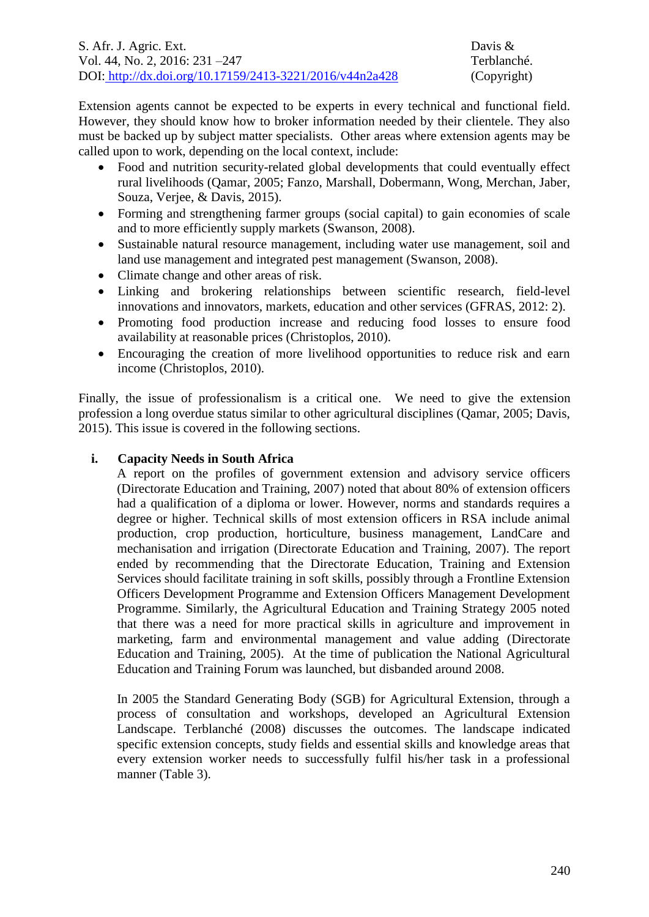Extension agents cannot be expected to be experts in every technical and functional field. However, they should know how to broker information needed by their clientele. They also must be backed up by subject matter specialists. Other areas where extension agents may be called upon to work, depending on the local context, include:

- Food and nutrition security-related global developments that could eventually effect rural livelihoods (Qamar, 2005; Fanzo, Marshall, Dobermann, Wong, Merchan, Jaber, Souza, Verjee, & Davis, 2015).
- Forming and strengthening farmer groups (social capital) to gain economies of scale and to more efficiently supply markets (Swanson, 2008).
- Sustainable natural resource management, including water use management, soil and land use management and integrated pest management (Swanson, 2008).
- Climate change and other areas of risk.
- Linking and brokering relationships between scientific research, field-level innovations and innovators, markets, education and other services (GFRAS, 2012: 2).
- Promoting food production increase and reducing food losses to ensure food availability at reasonable prices (Christoplos, 2010).
- Encouraging the creation of more livelihood opportunities to reduce risk and earn income (Christoplos, 2010).

Finally, the issue of professionalism is a critical one. We need to give the extension profession a long overdue status similar to other agricultural disciplines (Qamar, 2005; Davis, 2015). This issue is covered in the following sections.

## **i. Capacity Needs in South Africa**

A report on the profiles of government extension and advisory service officers (Directorate Education and Training, 2007) noted that about 80% of extension officers had a qualification of a diploma or lower. However, norms and standards requires a degree or higher. Technical skills of most extension officers in RSA include animal production, crop production, horticulture, business management, LandCare and mechanisation and irrigation (Directorate Education and Training, 2007). The report ended by recommending that the Directorate Education, Training and Extension Services should facilitate training in soft skills, possibly through a Frontline Extension Officers Development Programme and Extension Officers Management Development Programme. Similarly, the Agricultural Education and Training Strategy 2005 noted that there was a need for more practical skills in agriculture and improvement in marketing, farm and environmental management and value adding (Directorate Education and Training, 2005). At the time of publication the National Agricultural Education and Training Forum was launched, but disbanded around 2008.

In 2005 the Standard Generating Body (SGB) for Agricultural Extension, through a process of consultation and workshops, developed an Agricultural Extension Landscape. Terblanché (2008) discusses the outcomes. The landscape indicated specific extension concepts, study fields and essential skills and knowledge areas that every extension worker needs to successfully fulfil his/her task in a professional manner (Table 3).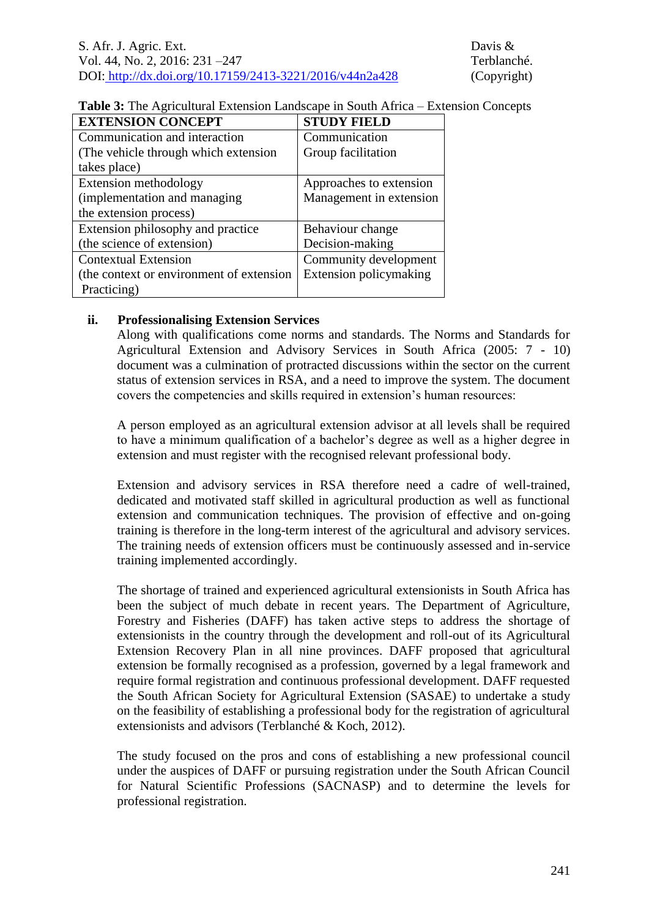#### **Table 3:** The Agricultural Extension Landscape in South Africa – Extension Concepts

| <b>EXTENSION CONCEPT</b>                 | <b>STUDY FIELD</b>      |
|------------------------------------------|-------------------------|
| Communication and interaction            | Communication           |
| (The vehicle through which extension)    | Group facilitation      |
| takes place)                             |                         |
| Extension methodology                    | Approaches to extension |
| (implementation and managing             | Management in extension |
| the extension process)                   |                         |
| Extension philosophy and practice        | Behaviour change        |
| (the science of extension)               | Decision-making         |
| <b>Contextual Extension</b>              | Community development   |
| (the context or environment of extension | Extension policymaking  |
| Practicing)                              |                         |

## **ii. Professionalising Extension Services**

Along with qualifications come norms and standards. The Norms and Standards for Agricultural Extension and Advisory Services in South Africa (2005: 7 - 10) document was a culmination of protracted discussions within the sector on the current status of extension services in RSA, and a need to improve the system. The document covers the competencies and skills required in extension's human resources:

A person employed as an agricultural extension advisor at all levels shall be required to have a minimum qualification of a bachelor's degree as well as a higher degree in extension and must register with the recognised relevant professional body.

Extension and advisory services in RSA therefore need a cadre of well-trained, dedicated and motivated staff skilled in agricultural production as well as functional extension and communication techniques. The provision of effective and on-going training is therefore in the long-term interest of the agricultural and advisory services. The training needs of extension officers must be continuously assessed and in-service training implemented accordingly.

The shortage of trained and experienced agricultural extensionists in South Africa has been the subject of much debate in recent years. The Department of Agriculture, Forestry and Fisheries (DAFF) has taken active steps to address the shortage of extensionists in the country through the development and roll-out of its Agricultural Extension Recovery Plan in all nine provinces. DAFF proposed that agricultural extension be formally recognised as a profession, governed by a legal framework and require formal registration and continuous professional development. DAFF requested the South African Society for Agricultural Extension (SASAE) to undertake a study on the feasibility of establishing a professional body for the registration of agricultural extensionists and advisors (Terblanché & Koch, 2012).

The study focused on the pros and cons of establishing a new professional council under the auspices of DAFF or pursuing registration under the South African Council for Natural Scientific Professions (SACNASP) and to determine the levels for professional registration.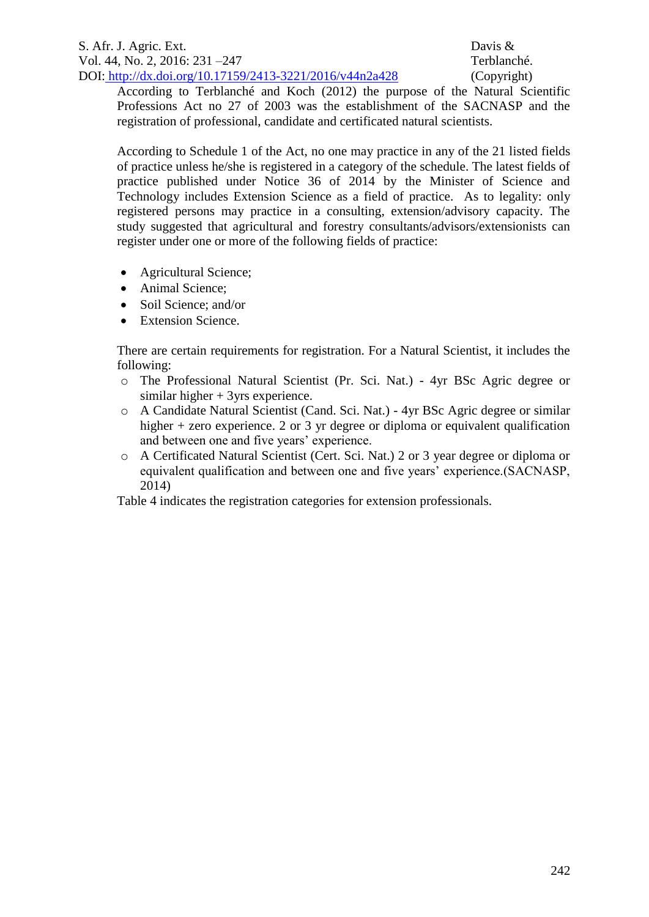According to Terblanché and Koch (2012) the purpose of the Natural Scientific Professions Act no 27 of 2003 was the establishment of the SACNASP and the registration of professional, candidate and certificated natural scientists.

According to Schedule 1 of the Act, no one may practice in any of the 21 listed fields of practice unless he/she is registered in a category of the schedule. The latest fields of practice published under Notice 36 of 2014 by the Minister of Science and Technology includes Extension Science as a field of practice. As to legality: only registered persons may practice in a consulting, extension/advisory capacity. The study suggested that agricultural and forestry consultants/advisors/extensionists can register under one or more of the following fields of practice:

- Agricultural Science;
- Animal Science;
- Soil Science: and/or
- Extension Science.

There are certain requirements for registration. For a Natural Scientist, it includes the following:

- o The Professional Natural Scientist (Pr. Sci. Nat.) 4yr BSc Agric degree or similar higher + 3yrs experience.
- o A Candidate Natural Scientist (Cand. Sci. Nat.) 4yr BSc Agric degree or similar higher + zero experience. 2 or 3 yr degree or diploma or equivalent qualification and between one and five years' experience.
- o A Certificated Natural Scientist (Cert. Sci. Nat.) 2 or 3 year degree or diploma or equivalent qualification and between one and five years' experience.(SACNASP, 2014)

Table 4 indicates the registration categories for extension professionals.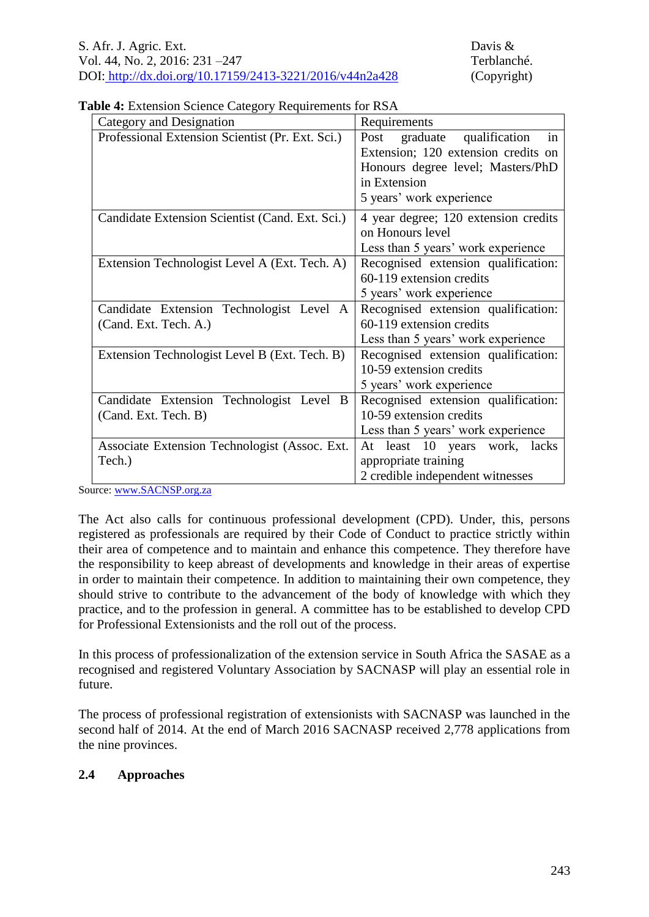|  |  |  | Table 4: Extension Science Category Requirements for RSA |  |
|--|--|--|----------------------------------------------------------|--|
|  |  |  |                                                          |  |

| Category and Designation                         | Requirements                            |  |  |  |  |
|--------------------------------------------------|-----------------------------------------|--|--|--|--|
| Professional Extension Scientist (Pr. Ext. Sci.) | qualification<br>Post<br>graduate<br>in |  |  |  |  |
|                                                  | Extension; 120 extension credits on     |  |  |  |  |
|                                                  | Honours degree level; Masters/PhD       |  |  |  |  |
|                                                  | in Extension                            |  |  |  |  |
|                                                  | 5 years' work experience                |  |  |  |  |
| Candidate Extension Scientist (Cand. Ext. Sci.)  | 4 year degree; 120 extension credits    |  |  |  |  |
|                                                  | on Honours level                        |  |  |  |  |
|                                                  | Less than 5 years' work experience      |  |  |  |  |
| Extension Technologist Level A (Ext. Tech. A)    | Recognised extension qualification:     |  |  |  |  |
|                                                  | 60-119 extension credits                |  |  |  |  |
|                                                  | 5 years' work experience                |  |  |  |  |
| Candidate Extension Technologist Level A         | Recognised extension qualification:     |  |  |  |  |
| (Cand. Ext. Tech. A.)                            | 60-119 extension credits                |  |  |  |  |
|                                                  | Less than 5 years' work experience      |  |  |  |  |
| Extension Technologist Level B (Ext. Tech. B)    | Recognised extension qualification:     |  |  |  |  |
|                                                  | 10-59 extension credits                 |  |  |  |  |
|                                                  | 5 years' work experience                |  |  |  |  |
| Candidate Extension Technologist Level B         | Recognised extension qualification:     |  |  |  |  |
| (Cand. Ext. Tech. B)                             | 10-59 extension credits                 |  |  |  |  |
|                                                  | Less than 5 years' work experience      |  |  |  |  |
| Associate Extension Technologist (Assoc. Ext.    | least 10 years work, lacks<br>At        |  |  |  |  |
| Tech.)                                           | appropriate training                    |  |  |  |  |
|                                                  | 2 credible independent witnesses        |  |  |  |  |

Source: [www.SACNSP.org.za](file:///D:/Users/davis/Documents/Documents%20Academic/Kristin%20Publications/ASSAF%20Study%20RSA/www.SACNSP.org.za) 

The Act also calls for continuous professional development (CPD). Under, this, persons registered as professionals are required by their Code of Conduct to practice strictly within their area of competence and to maintain and enhance this competence. They therefore have the responsibility to keep abreast of developments and knowledge in their areas of expertise in order to maintain their competence. In addition to maintaining their own competence, they should strive to contribute to the advancement of the body of knowledge with which they practice, and to the profession in general. A committee has to be established to develop CPD for Professional Extensionists and the roll out of the process.

In this process of professionalization of the extension service in South Africa the SASAE as a recognised and registered Voluntary Association by SACNASP will play an essential role in future.

The process of professional registration of extensionists with SACNASP was launched in the second half of 2014. At the end of March 2016 SACNASP received 2,778 applications from the nine provinces.

## **2.4 Approaches**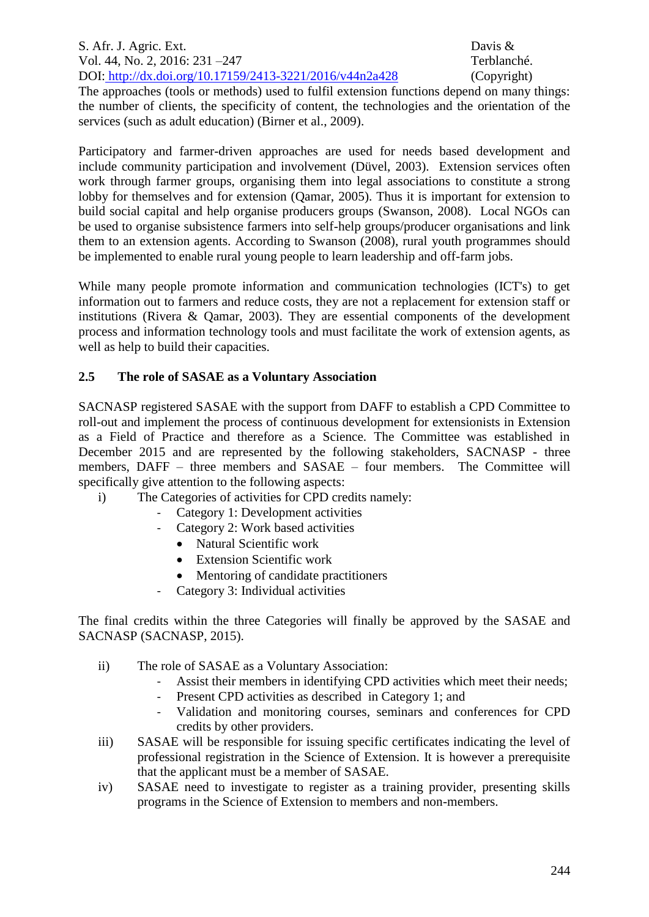S. Afr. J. Agric. Ext. Davis & Vol. 44, No. 2, 2016: 231 –247 Terblanché. DOI: http://dx.doi.org/10.17159/2413-3221/2016/v44n2a428 (Copyright)

The approaches (tools or methods) used to fulfil extension functions depend on many things: the number of clients, the specificity of content, the technologies and the orientation of the services (such as adult education) (Birner et al., 2009).

Participatory and farmer-driven approaches are used for needs based development and include community participation and involvement (Düvel, 2003). Extension services often work through farmer groups, organising them into legal associations to constitute a strong lobby for themselves and for extension (Qamar, 2005). Thus it is important for extension to build social capital and help organise producers groups (Swanson, 2008). Local NGOs can be used to organise subsistence farmers into self-help groups/producer organisations and link them to an extension agents. According to Swanson (2008), rural youth programmes should be implemented to enable rural young people to learn leadership and off-farm jobs.

While many people promote information and communication technologies (ICT's) to get information out to farmers and reduce costs, they are not a replacement for extension staff or institutions (Rivera & Qamar, 2003). They are essential components of the development process and information technology tools and must facilitate the work of extension agents, as well as help to build their capacities.

# **2.5 The role of SASAE as a Voluntary Association**

SACNASP registered SASAE with the support from DAFF to establish a CPD Committee to roll-out and implement the process of continuous development for extensionists in Extension as a Field of Practice and therefore as a Science. The Committee was established in December 2015 and are represented by the following stakeholders, SACNASP - three members, DAFF – three members and SASAE – four members. The Committee will specifically give attention to the following aspects:

- i) The Categories of activities for CPD credits namely:
	- Category 1: Development activities
	- Category 2: Work based activities
		- Natural Scientific work
		- Extension Scientific work
		- Mentoring of candidate practitioners
	- Category 3: Individual activities

The final credits within the three Categories will finally be approved by the SASAE and SACNASP (SACNASP, 2015).

- ii) The role of SASAE as a Voluntary Association:
	- Assist their members in identifying CPD activities which meet their needs;
	- Present CPD activities as described in Category 1; and
	- Validation and monitoring courses, seminars and conferences for CPD credits by other providers.
- iii) SASAE will be responsible for issuing specific certificates indicating the level of professional registration in the Science of Extension. It is however a prerequisite that the applicant must be a member of SASAE.
- iv) SASAE need to investigate to register as a training provider, presenting skills programs in the Science of Extension to members and non-members.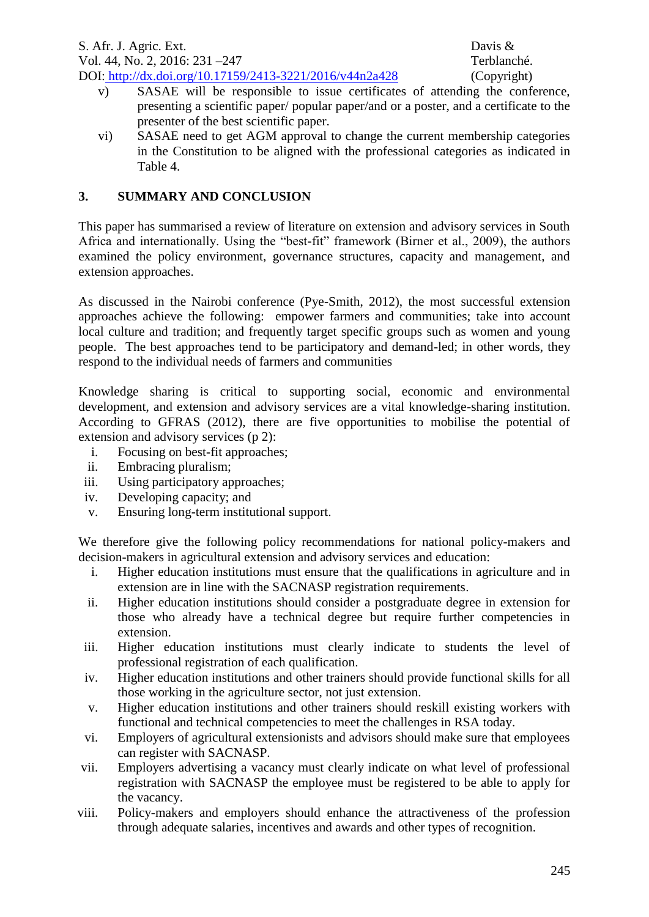- v) SASAE will be responsible to issue certificates of attending the conference, presenting a scientific paper/ popular paper/and or a poster, and a certificate to the presenter of the best scientific paper.
- vi) SASAE need to get AGM approval to change the current membership categories in the Constitution to be aligned with the professional categories as indicated in Table 4.

#### **3. SUMMARY AND CONCLUSION**

This paper has summarised a review of literature on extension and advisory services in South Africa and internationally. Using the "best-fit" framework (Birner et al., 2009), the authors examined the policy environment, governance structures, capacity and management, and extension approaches.

As discussed in the Nairobi conference (Pye-Smith, 2012), the most successful extension approaches achieve the following: empower farmers and communities; take into account local culture and tradition; and frequently target specific groups such as women and young people. The best approaches tend to be participatory and demand-led; in other words, they respond to the individual needs of farmers and communities

Knowledge sharing is critical to supporting social, economic and environmental development, and extension and advisory services are a vital knowledge-sharing institution. According to GFRAS (2012), there are five opportunities to mobilise the potential of extension and advisory services (p 2):

- i. Focusing on best-fit approaches;
- ii. Embracing pluralism;
- iii. Using participatory approaches;
- iv. Developing capacity; and
- v. Ensuring long-term institutional support.

We therefore give the following policy recommendations for national policy-makers and decision-makers in agricultural extension and advisory services and education:

- i. Higher education institutions must ensure that the qualifications in agriculture and in extension are in line with the SACNASP registration requirements.
- ii. Higher education institutions should consider a postgraduate degree in extension for those who already have a technical degree but require further competencies in extension.
- iii. Higher education institutions must clearly indicate to students the level of professional registration of each qualification.
- iv. Higher education institutions and other trainers should provide functional skills for all those working in the agriculture sector, not just extension.
- v. Higher education institutions and other trainers should reskill existing workers with functional and technical competencies to meet the challenges in RSA today.
- vi. Employers of agricultural extensionists and advisors should make sure that employees can register with SACNASP.
- vii. Employers advertising a vacancy must clearly indicate on what level of professional registration with SACNASP the employee must be registered to be able to apply for the vacancy.
- viii. Policy-makers and employers should enhance the attractiveness of the profession through adequate salaries, incentives and awards and other types of recognition.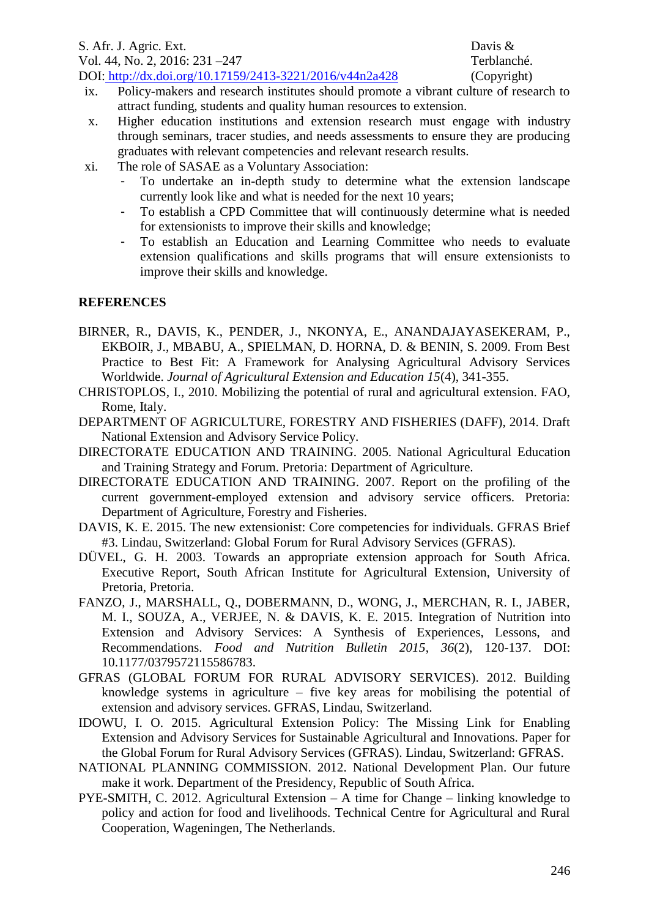- ix. Policy-makers and research institutes should promote a vibrant culture of research to attract funding, students and quality human resources to extension.
- x. Higher education institutions and extension research must engage with industry through seminars, tracer studies, and needs assessments to ensure they are producing graduates with relevant competencies and relevant research results.
- xi. The role of SASAE as a Voluntary Association:
	- To undertake an in-depth study to determine what the extension landscape currently look like and what is needed for the next 10 years;
	- To establish a CPD Committee that will continuously determine what is needed for extensionists to improve their skills and knowledge;
	- To establish an Education and Learning Committee who needs to evaluate extension qualifications and skills programs that will ensure extensionists to improve their skills and knowledge.

## **REFERENCES**

- BIRNER, R., DAVIS, K., PENDER, J., NKONYA, E., ANANDAJAYASEKERAM, P., EKBOIR, J., MBABU, A., SPIELMAN, D. HORNA, D. & BENIN, S. 2009. From Best Practice to Best Fit: A Framework for Analysing Agricultural Advisory Services Worldwide. *Journal of Agricultural Extension and Education 15*(4), 341-355.
- CHRISTOPLOS, I., 2010. Mobilizing the potential of rural and agricultural extension. FAO, Rome, Italy.
- DEPARTMENT OF AGRICULTURE, FORESTRY AND FISHERIES (DAFF), 2014. Draft National Extension and Advisory Service Policy.
- DIRECTORATE EDUCATION AND TRAINING. 2005. National Agricultural Education and Training Strategy and Forum. Pretoria: Department of Agriculture.
- DIRECTORATE EDUCATION AND TRAINING. 2007. Report on the profiling of the current government-employed extension and advisory service officers. Pretoria: Department of Agriculture, Forestry and Fisheries.
- DAVIS, K. E. 2015. The new extensionist: Core competencies for individuals. GFRAS Brief #3. Lindau, Switzerland: Global Forum for Rural Advisory Services (GFRAS).
- DÜVEL, G. H. 2003. Towards an appropriate extension approach for South Africa. Executive Report, South African Institute for Agricultural Extension, University of Pretoria, Pretoria.
- FANZO, J., MARSHALL, Q., DOBERMANN, D., WONG, J., MERCHAN, R. I., JABER, M. I., SOUZA, A., VERJEE, N. & DAVIS, K. E. 2015. Integration of Nutrition into Extension and Advisory Services: A Synthesis of Experiences, Lessons, and Recommendations. *Food and Nutrition Bulletin 2015*, *36*(2), 120-137. DOI: 10.1177/0379572115586783.
- GFRAS (GLOBAL FORUM FOR RURAL ADVISORY SERVICES). 2012. Building knowledge systems in agriculture – five key areas for mobilising the potential of extension and advisory services. GFRAS, Lindau, Switzerland.
- IDOWU, I. O. 2015. Agricultural Extension Policy: The Missing Link for Enabling Extension and Advisory Services for Sustainable Agricultural and Innovations. Paper for the Global Forum for Rural Advisory Services (GFRAS). Lindau, Switzerland: GFRAS.
- NATIONAL PLANNING COMMISSION. 2012. National Development Plan. Our future make it work. Department of the Presidency, Republic of South Africa.
- PYE-SMITH, C. 2012. Agricultural Extension A time for Change linking knowledge to policy and action for food and livelihoods. Technical Centre for Agricultural and Rural Cooperation, Wageningen, The Netherlands.